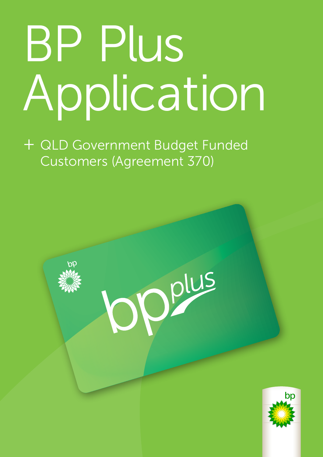# BP Plus Application

+ QLD Government Budget Funded Customers (Agreement 370)

Oplus



Page 1 of 10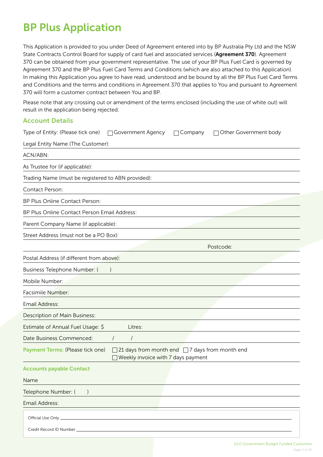# BP Plus Application

This Application is provided to you under Deed of Agreement entered into by BP Australia Pty Ltd and the NSW State Contracts Control Board for supply of card fuel and associated services (Agreement 370). Agreement 370 can be obtained from your government representative. The use of your BP Plus Fuel Card is governed by Agreement 370 and the BP Plus Fuel Card Terms and Conditions (which are also attached to this Application). In making this Application you agree to have read, understood and be bound by all the BP Plus Fuel Card Terms and Conditions and the terms and conditions in Agreement 370 that applies to You and pursuant to Agreement 370 will form a customer contract between You and BP.

Please note that any crossing out or amendment of the terms enclosed (including the use of white out) will result in the application being rejected.

## Account Details

| Type of Entity: (Please tick one)                  | □ Government Agency                                                                                 | Company | □ Other Government body |
|----------------------------------------------------|-----------------------------------------------------------------------------------------------------|---------|-------------------------|
| Legal Entity Name (The Customer):                  |                                                                                                     |         |                         |
| ACN/ABN:                                           |                                                                                                     |         |                         |
| As Trustee for (if applicable):                    |                                                                                                     |         |                         |
| Trading Name (must be registered to ABN provided): |                                                                                                     |         |                         |
| Contact Person:                                    |                                                                                                     |         |                         |
| BP Plus Online Contact Person:                     |                                                                                                     |         |                         |
| BP Plus Online Contact Person Email Address:       |                                                                                                     |         |                         |
| Parent Company Name (if applicable):               |                                                                                                     |         |                         |
| Street Address (must not be a PO Box):             |                                                                                                     |         |                         |
|                                                    |                                                                                                     |         | Postcode:               |
| Postal Address (if different from above):          |                                                                                                     |         |                         |
| Business Telephone Number: (                       |                                                                                                     |         |                         |
| Mobile Number:                                     |                                                                                                     |         |                         |
| Facsimile Number:                                  |                                                                                                     |         |                         |
| <b>Email Address:</b>                              |                                                                                                     |         |                         |
| Description of Main Business:                      |                                                                                                     |         |                         |
| Estimate of Annual Fuel Usage: \$                  | Litres:                                                                                             |         |                         |
| Date Business Commenced:                           | $\prime$<br>$\sqrt{ }$                                                                              |         |                         |
| Payment Terms: (Please tick one)                   | 21 days from month end $\Box$ 7 days from month end<br>$\Box$<br>Weekly invoice with 7 days payment |         |                         |
| <b>Accounts payable Contact</b>                    |                                                                                                     |         |                         |
| Name                                               |                                                                                                     |         |                         |
| Telephone Number: (<br>$\left( \right)$            |                                                                                                     |         |                         |
| Email Address:                                     |                                                                                                     |         |                         |
|                                                    |                                                                                                     |         |                         |
|                                                    |                                                                                                     |         |                         |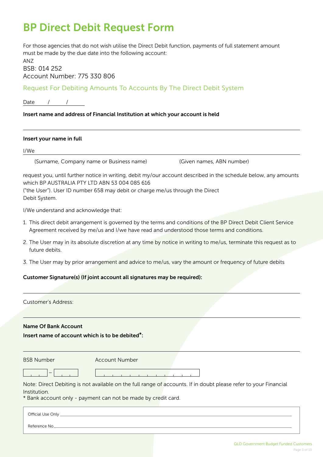# BP Direct Debit Request Form

For those agencies that do not wish utilise the Direct Debit function, payments of full statement amount must be made by the due date into the following account:

ANZ BSB: 014 252 Account Number: 775 330 806

Request For Debiting Amounts To Accounts By The Direct Debit System

Date / /

## Insert name and address of Financial Institution at which your account is held

### Insert your name in full

I/We

(Surname, Company name or Business name) (Given names, ABN number)

request you, until further notice in writing, debit my/our account described in the schedule below, any amounts which BP AUSTRALIA PTY LTD ABN 53 004 085 616

("the User"). User ID number 658 may debit or charge me/us through the Direct Debit System.

I/We understand and acknowledge that:

- 1. This direct debit arrangement is governed by the terms and conditions of the BP Direct Debit Client Service Agreement received by me/us and I/we have read and understood those terms and conditions.
- 2. The User may in its absolute discretion at any time by notice in writing to me/us, terminate this request as to future debits.
- 3. The User may by prior arrangement and advice to me/us, vary the amount or frequency of future debits

## Customer Signature(s) (If joint account all signatures may be required):

| Customer's Address:                                          |                                                                                                                                                                                   |
|--------------------------------------------------------------|-----------------------------------------------------------------------------------------------------------------------------------------------------------------------------------|
| <b>Name Of Bank Account</b>                                  |                                                                                                                                                                                   |
| Insert name of account which is to be debited <sup>*</sup> : |                                                                                                                                                                                   |
| <b>BSB Number</b>                                            | <b>Account Number</b>                                                                                                                                                             |
|                                                              |                                                                                                                                                                                   |
| Institution.                                                 | Note: Direct Debiting is not available on the full range of accounts. If in doubt please refer to your Financial<br>* Bank account only - payment can not be made by credit card. |
| Official Use Only<br>Reference No                            |                                                                                                                                                                                   |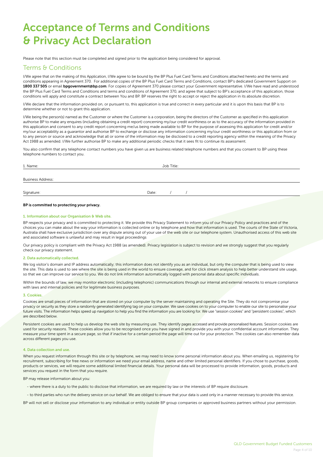# Acceptance of Terms and Conditions & Privacy Act Declaration

Please note that this section must be completed and signed prior to the application being considered for approval.

## Terms & Conditions

I/We agree that on the making of this Application, I/We agree to be bound by the BP Plus Fuel Card Terms and Conditions attached hereto and the terms and conditions appearing in Agreement 370. For additional copies of the BP Plus Fuel Card Terms and Conditions, contact BP's dedicated Government Support on 1800 337 505 or email bpgovernment@bp.com. For copies of Agreement 370 please contact your Government representative. I/We have read and understood the BP Plus Fuel Card Terms and Conditions and terms and conditions of Agreement 370, and agree that subject to BP's acceptance of this application, those conditions will apply and constitute a contract between You and BP. BP reserves the right to accept or reject the application in its absolute discretion.

I/We declare that the information provided on, or pursuant to, this application is true and correct in every particular and it is upon this basis that BP is to determine whether or not to grant this application.

I/We being the person(s) named as the Customer or where the Customer is a corporation, being the directors of the Customer as specified in this application authorise BP to make any enquires (including obtaining a credit report) concerning my/our credit worthiness or as to the accuracy of the information provided in this application and consent to any credit report concerning me/us being made available to BP for the purpose of assessing this application for credit and/or my/our acceptability as a guarantor and authorise BP to exchange or disclose any information concerning my/our credit worthiness or this application from or to any person or source and acknowledge that all or some of the information may be disclosed to a credit reporting agency within the meaning of the Privacy Act 1988 as amended. I/We further authorise BP to make any additional periodic checks that it sees fit to continue its assessment.

You also confirm that any telephone contact numbers you have given us are business related telephone numbers and that you consent to BP using these telephone numbers to contact you.

| 1. Name:                 |       |  |  |  |
|--------------------------|-------|--|--|--|
| <b>Business Address:</b> |       |  |  |  |
| Signature:               | Date: |  |  |  |

#### BP is committed to protecting your privacy.

#### 1. Information about our Organisation & Web site.

BP respects your privacy and is committed to protecting it. We provide this Privacy Statement to inform you of our Privacy Policy and practices and of the choices you can make about the way your information is collected online or by telephone and how that information is used. The courts of the State of Victoria, Australia shall have exclusive jurisdiction over any dispute arising out of your use of the web site or our telephone system. Unauthorised access of this web site and associated software is unlawful and may result in legal proceedings

Our privacy policy is compliant with the Privacy Act 1988 (as amended). Privacy legislation is subject to revision and we strongly suggest that you regularly check our privacy statement.

#### 2. Data automatically collected.

We log visitor's domain and IP address automatically; this information does not identify you as an individual, but only the computer that is being used to view the site. This data is used to see where the site is being used in the world to ensure coverage, and for click stream analysis to help better understand site usage, so that we can improve our service to you. We do not link information automatically logged with personal data about specific individuals.

Within the bounds of law, we may monitor electronic (including telephonic) communications through our internal and external networks to ensure compliance with laws and internal policies and for legitimate business purposes.

#### 3. Cookies.

Cookies are small pieces of information that are stored on your computer by the server maintaining and operating the Site. They do not compromise your privacy or security as they store a randomly generated identifying tag on your computer. We save cookies on to your computer to enable our site to personalise your future visits. The information helps speed up navigation to help you find the information you are looking for. We use "session cookies" and "persistent cookies", which are described below.

Persistent cookies are used to help us develop the web site by measuring use. They identify pages accessed and provide personalised features. Session cookies are used for security reasons. These cookies allow you to be recognised once you have signed in and provide you with your confidential account information. They measure your time spent in a secure page, so that if inactive for a certain period the page will time out for your protection. The cookies can also remember data across different pages you use.

#### 4. Data collection and use.

When you request information through this site or by telephone, we may need to know some personal information about you. When emailing us, registering for recruitment, subscribing for free news or information we need your email address, name and other limited personal identifiers. If you chose to purchase, goods, products or services, we will require some additional limited financial details. Your personal data will be processed to provide information, goods, products and services you request in the form that you require.

BP may release information about you:

- where there is a duty to the public to disclose that information, we are required by law or the interests of BP require disclosure.

- to third parties who run the delivery service on our behalf. We are obliged to ensure that your data is used only in a manner necessary to provide this service.

BP will not sell or disclose your information to any individual or entity outside BP group companies or approved business partners without your permission.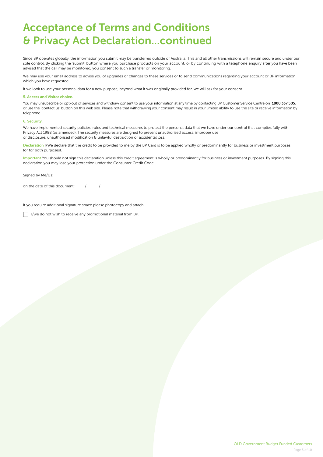# Acceptance of Terms and Conditions & Privacy Act Declaration...continued

Since BP operates globally, the information you submit may be transferred outside of Australia. This and all other transmissions will remain secure and under our sole control. By clicking the 'submit' button where you purchase products on your account, or by continuing with a telephone enquiry after you have been advised that the call may be monitored, you consent to such a transfer or monitoring.

We may use your email address to advise you of upgrades or changes to these services or to send communications regarding your account or BP information which you have requested.

If we look to use your personal data for a new purpose, beyond what it was originally provided for, we will ask for your consent.

#### 5. Access and Visitor choice.

You may unsubscribe or opt-out of services and withdraw consent to use your information at any time by contacting BP Customer Service Centre on 1800 337 505, or use the 'contact us' button on this web site. Please note that withdrawing your consent may result in your limited ability to use the site or receive information by telephone.

#### 6. Security.

We have implemented security policies, rules and technical measures to protect the personal data that we have under our control that complies fully with Privacy Act 1988 (as amended). The security measures are designed to prevent unauthorised access, improper use or disclosure, unauthorised modification & unlawful destruction or accidental loss.

Declaration I/We declare that the credit to be provided to me by the BP Card is to be applied wholly or predominantly for business or investment purposes (or for both purposes).

Important You should not sign this declaration unless this credit agreement is wholly or predominantly for business or investment purposes. By signing this declaration you may lose your protection under the Consumer Credit Code.

#### Signed by Me/Us:

on the date of this document:  $/$  /

If you require additional signature space please photocopy and attach.

 $\Box$  I/we do not wish to receive any promotional material from BP.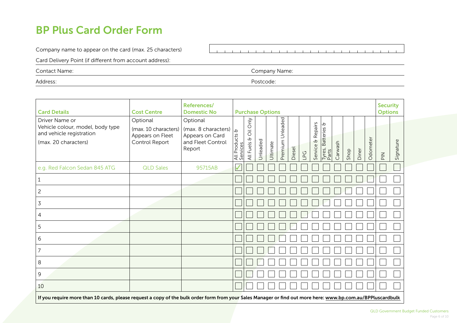## BP Plus Card Order Form

Company name to appear on the card (max. 25 characters)

 $\sim 10^{-1}$  $\sim 10$ 

Card Delivery Point (if different from account address):

Contact Name: Company Name:

Address: Postcode:

| <b>Card Details</b>                                                                                                                                         | <b>Cost Centre</b>                                                     | References/<br><b>Domestic No</b>                                                 | <b>Purchase Options</b>              |                                                      |          |          |                                      |        |     |                                    | <b>Security</b><br><b>Options</b> |         |      |       |          |                                 |           |
|-------------------------------------------------------------------------------------------------------------------------------------------------------------|------------------------------------------------------------------------|-----------------------------------------------------------------------------------|--------------------------------------|------------------------------------------------------|----------|----------|--------------------------------------|--------|-----|------------------------------------|-----------------------------------|---------|------|-------|----------|---------------------------------|-----------|
| Driver Name or<br>Vehicle colour, model, body type<br>and vehicle registration<br>(max. 20 characters)                                                      | Optional<br>(max. 10 characters)<br>Appears on Fleet<br>Control Report | Optional<br>(max. 8 characters)<br>Appears on Card<br>and Fleet Control<br>Report | $\phi$<br>All Products &<br>Services | Only<br>$\overline{\overline{O}}$<br>cb<br>All Fuels | Unleaded | Ultimate | $\overline{e}$<br>Unleade<br>Premium | Diesel | LPG | Repairs<br>$\mathbf{t}$<br>Service | c<br>Tyres, Batteries &<br>Parts  | Carwash | Shop | Diner | Odometer | $\frac{\mathsf{Z}}{\mathsf{D}}$ | Signature |
| e.g. Red Falcon Sedan 845 ATG                                                                                                                               | <b>QLD Sales</b>                                                       | 95715AB                                                                           | $\checkmark$                         |                                                      |          |          |                                      |        |     |                                    |                                   |         |      |       |          |                                 |           |
| 1                                                                                                                                                           |                                                                        |                                                                                   |                                      |                                                      |          |          |                                      |        |     |                                    |                                   |         |      |       |          |                                 |           |
| $\overline{c}$                                                                                                                                              |                                                                        |                                                                                   |                                      |                                                      |          |          |                                      |        |     |                                    |                                   |         |      |       |          |                                 |           |
| 3                                                                                                                                                           |                                                                        |                                                                                   |                                      |                                                      |          |          |                                      |        |     |                                    |                                   |         |      |       |          |                                 |           |
| 4                                                                                                                                                           |                                                                        |                                                                                   |                                      |                                                      |          |          |                                      |        |     |                                    |                                   |         |      |       |          |                                 |           |
| 5                                                                                                                                                           |                                                                        |                                                                                   |                                      |                                                      |          |          |                                      |        |     |                                    |                                   |         |      |       |          |                                 |           |
| 6                                                                                                                                                           |                                                                        |                                                                                   |                                      |                                                      |          |          |                                      |        |     |                                    |                                   |         |      |       |          |                                 |           |
| $\overline{7}$                                                                                                                                              |                                                                        |                                                                                   |                                      |                                                      |          |          |                                      |        |     |                                    |                                   |         |      |       |          |                                 |           |
| 8                                                                                                                                                           |                                                                        |                                                                                   |                                      |                                                      |          |          |                                      |        |     |                                    |                                   |         |      |       |          |                                 |           |
| 9                                                                                                                                                           |                                                                        |                                                                                   |                                      |                                                      |          |          |                                      |        |     |                                    |                                   |         |      |       |          |                                 |           |
| 10                                                                                                                                                          |                                                                        |                                                                                   |                                      |                                                      |          |          |                                      |        |     |                                    |                                   |         |      |       |          |                                 |           |
| If you require more than 10 cards, please request a copy of the bulk order form from your Sales Manager or find out more here: www.bp.com.au/BPPluscardbulk |                                                                        |                                                                                   |                                      |                                                      |          |          |                                      |        |     |                                    |                                   |         |      |       |          |                                 |           |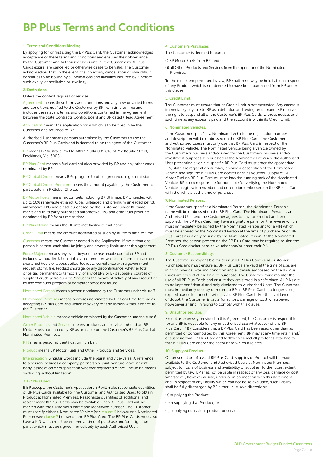# BP Plus Terms and Conditions

#### 1. Terms and Conditions Binding.

By applying for or first using the BP Plus Card, the Customer acknowledges acceptance of these terms and conditions and ensures their observance by the Customer and Authorised Users until all the Customer's BP Plus Cards expire, are cancelled or otherwise cease to be valid. The Customer acknowledges that, in the event of such expiry, cancellation or invalidity, it continues to be bound by all obligations and liabilities incurred by it before such expiry, cancellation or invalidity.

#### 2. Definitions.

Unless the context requires otherwise:

Agreement means these terms and conditions and any new or varied terms and conditions notified to the Customer by BP from time to time and includes the relevant terms and conditions contained in the Agreement between the State Contracts Control Board and BP dated (Head Agreement)

Application means the application form which is to be filled in by the Customer and returned to BP.

Authorised User means persons authorised by the Customer to use the Customer's BP Plus Cards and is deemed to be the agent of the Customer.

BP means BP Australia Pty Ltd ABN 53 004 085 616 of 717 Bourke Street, Docklands, Vic, 3008.

BP Plus Card means a fuel card solution provided by BP and any other cards nominated by BP.

BP Global Choice means BP's program to offset greenhouse gas emissions.

BP Global Choice Premium means the amount payable by the Customer to participate in BP Global Choice.

BP Motor Fuels means motor fuels including BP Ultimate, BP Unleaded with up to 10% renewable ethanol, Opal, unleaded and premium unleaded petrol, automotive LPG and diesel purchased by the Customer under BP trade marks and third party purchased automotive LPG and other fuel products nominated by BP from time to time.

BP Plus Online means the BP internet facility of that name.

Credit Limit means the amount nominated as such by BP from time to time.

Customer means the Customer named in the Application. If more than one person is named, each shall be jointly and severally liable under this Agreement.

Force Majeure means any event beyond the reasonable control of BP and includes, without limitation, riot, civil commotion, war, acts of terrorism, accident, shortened hours of labour, strikes, lockouts, compliance with a government request, storm, fire, Product shortage, or any discontinuance, whether total or partial, permanent or temporary, of any of BP's or BP's suppliers' sources of supply of crude petroleum or Product or the means of delivery of any Product or by any computer program or computer processor failure.

Nominated Person means a person nominated by the Customer under clause 7.

Nominated Premises means premises nominated by BP from time to time as accepting BP Plus Card and which may vary for any reason without notice to the Customer.

Nominated Vehicle means a vehicle nominated by the Customer under clause 6.

Other Products and Services means products and services other than BP Motor Fuels nominated by BP as available on the Customer's BP Plus Card at Nominated Premises.

PIN means personal identification number.

Product means BP Motor Fuels and Other Products and Services.

Interpretation. Singular words include the plural and vice-versa. A reference to a person includes a company, partnership, joint-venture, government body, association or organisation whether registered or not. Including means 'including without limitation'.

#### 3. BP Plus Card.

If BP accepts the Customer's Application, BP will make reasonable quantities of BP Plus Cards available for the Customer and Authorised Users to obtain Product at Nominated Premises. Reasonable quantities of additional and replacement BP Plus Cards may be available. Each BP Plus Card will be marked with the Customer's name and identifying number. The Customer must specify either a Nominated Vehicle (see clause 6 below) or a Nominated Person (see clause 7 below) on the BP Plus Card. The BP Plus Cards must also have a PIN which must be entered at time of purchase and/or a signature panel which must be signed immediately by each Authorised User.

#### 4. Customer's Purchases.

The Customer is deemed to purchase:

(i) BP Motor Fuels from BP; and

(ii) all Other Products and Services from the operator of the Nominated Premises.

To the full extent permitted by law, BP shall in no way be held liable in respect of any Product which is not deemed to have been purchased from BP under this clause.

#### 5. Credit Limit.

The Customer must ensure that its Credit Limit is not exceeded. Any excess is immediately payable to BP as a debt due and owing on demand. BP reserves the right to suspend all of the Customer's BP Plus Cards, without notice, until such time as any excess is paid and the account is within its Credit Limit.

#### 6. Nominated Vehicles.

If the Customer specifies a Nominated Vehicle the registration number and description will be embossed on the BP Plus Card. The Customer and Authorised Users must only use that BP Plus Card in respect of the Nominated Vehicle. The Nominated Vehicle being a vehicle owned by the Customer's business and/or used for the Customer's business and/or investment purposes. If requested at the Nominated Premises, the Authorised User presenting a vehicle-specific BP Plus Card must enter the appropriate PIN, state the registration number, provide a description of the Nominated Vehicle and sign the BP Plus Card docket or sales voucher. Supply of BP Motor Fuel on BP Plus Card must be into the running tank of the Nominated Vehicle. BP is not responsible for nor liable for verifying the Nominated Vehicle's registration number and description embossed on the BP Plus Card with the vehicle at the time of purchase.

#### 7. Nominated Persons.

If the Customer specifies a Nominated Person, the Nominated Person's name will be embossed on the BP Plus Card. The Nominated Person is an Authorised User and the Customer agrees to pay for Product and credit supplied. The BP Plus Card may have a signature panel on the reverse which must immediately be signed by the Nominated Person and/or a PIN which must be entered by the Nominated Person at the time of purchase. Such BP Plus Cards must only be used by the Nominated Person. At the Nominated Premises, the person presenting the BP Plus Card may be required to sign the BP Plus Card docket or sales voucher and/or enter their PIN.

#### 8. Customer Responsibility.

The Customer is responsible for all issued BP Plus Card's and Customer Purchases and must ensure all BP Plus Cards are valid at the time of use, are in good physical working condition and all details embossed on the BP Plus Cards are correct at the time of purchase. The Customer must monitor the use of all BP Plus Cards and ensure they are stored in a safe place. All PINs are to be kept confidential and only disclosed to Authorised Users. The Customer must immediately destroy or return to BP all BP Plus Cards no longer used, expired, cancelled or otherwise invalid BP Plus Cards. For the avoidance of doubt, the Customer is liable for all loss, damage or cost whatsoever, howsoever arising, in failing to comply with this clause.

#### 9. Unauthorised Use.

Except as expressly provided in this Agreement, the Customer is responsible for and BP is not liable for any unauthorised use whatsoever of any BP Plus Card. If BP considers that a BP Plus Card has been used other than as permitted or contemplated by this Agreement, BP may at any time retain and/ or suspend that BP Plus Card and forthwith cancel all privileges attached to that BP Plus Card and/or the account to which it relates.

#### 10. Supply of Product.

On presentation of a valid BP Plus Card, supplies of Product will be made available to the Customer and Authorised Users at Nominated Premises, subject to hours of business and availability of supplies. To the fullest extent permitted by law, BP shall not be liable in respect of any loss, damage or cost whatsoever, however arising, under or in connection with this Agreement and, in respect of any liability which can not be so excluded, such liability shall be fully discharged by BP either (in its sole discretion):

(a) supplying the Product;

- (b) resupplying that Product; or
- (c) supplying equivalent product or services.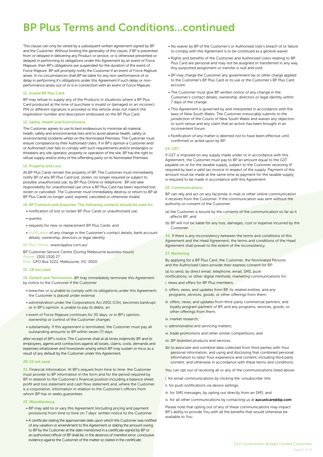# BP Plus Terms and Conditions...continued

This clause can only be varied by a subsequent written agreement signed by BP and the Customer. Without limiting the generality of this clause, if BP is prevented from or delayed in delivering any Product or service, or is otherwise prevented or delayed in performing its obligations under this Agreement by an event of Force Majeure, then BP's obligations are suspended for the duration of the event of Force Majeure. BP will promptly notify the Customer if an event of Force Majeure arises. In no circumstances shall BP be liable for any non-performance of or delay in performing it's obligations under this Agreement if such delay or nonperformance arises out of or is in connection with an event of Force Majeure.

#### 11. Invalid BP Plus Card.

BP may refuse to supply any of the Products in situations where a BP Plus Card produced at the time of purchase is invalid or damaged or an incorrect PIN or different signature is provided or the vehicle does not match the registration number and description embossed on the BP Plus Card.

#### 12. Safety, Health and Environment.

The Customer agrees to use its best endeavours to minimise all material health, safety and environmental risks and to avoid adverse health, safety or environmental incidents whilst on the Nominated Premises. The Customer must ensure compliance by their Authorised Users. If in BP's opinion a Customer and/ or Authorised User fails to comply with such requirements and/or endangers or threatens any site operator, property or operation of the site, BP has the right to refuse supply and/or entry of the offending party on its Nominated Premises.

#### 13. Property and Loss.

All BP Plus Cards remain the property of BP. The Customer must immediately notify BP of any BP Plus Card lost, stolen, no longer required or subject to possible unauthorised use, by BP Plus Online or telephone . BP will take responsibility for unauthorised use once a BP Plus Card has been reported lost, stolen or cancelled. The Customer must immediately destroy or return to BP all BP Plus Cards no longer used, expired, cancelled or otherwise invalid.

#### 14. BP Contacts and Enquiries. The following contacts should be used for:

- notification of lost or stolen BP Plus Cards or unauthorised use;
- queries;
- requests for new or replacement BP Plus Cards; and
- notification of any change in the Customer's contact details, bank account details, ownership, directors or legal identity.

#### BP Plus Online: www.bpplus.com.au/

BP Customer Service Centre (During Melbourne business hours): Phone: 1300 1300 27

Post: GPO Box 5222, Melbourne, VIC 3000

#### 15 -18 not used

19. Default and Termination. BP may immediately terminate this Agreement by notice to the Customer if the Customer

- breaches or is unable to comply with its obligations under this Agreement; the Customer is placed under external
- administration under the Corporations Act 2001 (Cth), becomes bankrupt, or in BP's opinion, is unable to pay its debts; an
- event of Force Majeure continues for 30 days; or in BP's opinion, ownership or control of the Customer changes
- substantially. If this agreement is terminated, the Customer must pay all outstanding amounts to BP within seven (7) days

after receipt of BP's notice. The Customer shall at all times indemnify BP and its employees, agents and contractors against all losses, claims, costs, demands and expenses whatsoever and howsoever arising which BP may sustain or incur as a result of any default by the Customer under this Agreement.

#### 20-21 not used

22. Financial Information. At BP's request from time to time, the Customer must provide to BP information in the form and for the period required by BP in relation to the Customer's financial position including a balance sheet, profit and loss statement and cash flow statement and, where the Customer is a corporation, information in relation to the Customer's officers from whom BP has or seeks guarantees.

#### 23. Miscellaneous.

- BP may add to or vary this Agreement (including pricing and payment provisions) from time to time on 7 days' written notice to the Customer.
- A certificate stating the approximate date upon which the Customer was notified of any variation or amendment to this Agreement or stating the amount owing to BP by the Customer at the date mentioned in a certificate signed by BP or an authorised officer of BP shall be, in the absence of manifest error, conclusive evidence against the Customer of the matter so stated in the certificate.
- No waiver by BP of the Customer's or Authorised User's breach of or failure to comply with this Agreement is to be construed as a general waiver.
- Rights and benefits of the Customer and Authorised Users relating to BP Plus Card are personal and may not be assigned or transferred in any way. Any purported assignment or transfer is null and void.
- BP may charge the Customer any government tax or other charge applied to the Customer's BP Plus Card or its use or the Customer's BP Plus Card account.
- The Customer must give BP written notice of any change in the Customer's contact details, ownership, directors or legal identity within 7 days of the change.
- This Agreement is governed by and interpreted in accordance with the laws of New South Wales. The Customer irrevocably submits to the jurisdiction of the Courts of New South Wales and waives any objection to such venue and any claim that an action has been brought in an inconvenient forum.
- Notification of any matter is deemed not to have been effective until confirmed or acted upon by BP.

#### 24. GST.

If GST is imposed on any supply made under or in accordance with this Agreement, the Customer must pay to BP an amount equal to the GST payable on or for the taxable supply, subject to the Customer receiving (if required by law) a valid tax invoice in respect of the supply. Payment of this amount must be made at the same time as payment for the taxable supply is required to be made in accordance with this Agreement.

#### 25. Communications.

BP can rely and act on any facsimile, e-mail or other online communication it receives from the Customer. If the communication was sent without the authority or consent of the Customer:

- (a) the Customer is bound by the contents of the communication so far as it affects BP; and
- (b) BP will not be liable for any loss, damages, cost or expense incurred by the Customer.

26. If there is any inconsistency between the terms and conditions of this Agreement and the Head Agreement, the terms and conditions of the Head Agreement shall prevail to the extent of the inconsistency.

#### 27. Marketing

By applying for a BP Plus Card, the Customer, the Nominated Persons and the Authorised Users provide their express consent for BP:

(a) to send, by direct email, telephone, email, SMS, push

notifications, or other digital methods, marketing communications for:

- i. news and offers for BP Plus members;
- ii. offers, news, and updates from BP, its related entities, and any programs, services, goods, or other offerings from them;
- iii. offers, news, and updates from third-party commercial partners, and loyalty program partners of BP, and any programs, services, goods, or other offerings from them;
- iv. market research;
- v. administrative and servicing matters;
- vi. trade promotions and other similar competitions; and
- vii. BP-branded products and services.
- (b) to associate and combine data collected from third parties with Your personal information, and using and disclosing that combined personal information to tailor Your experience and content, including third party content, and otherwise in accordance with these terms and conditions.

You can opt out of receiving all or any of the communications listed above:

i. for email communications by clicking the 'unsubscribe' link;

ii. for push notifications via device settings;

iii. for SMS messages, by opting out directly from an SMS; and

iv. for all other communications by contacting us at **aucustcare@bp.com** 

Please note that opting out of any of these communications may impact BP's ability to provide You with all the benefits that would otherwise be available to You.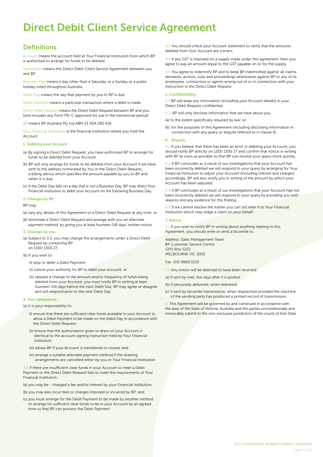# Direct Debit Client Service Agreement

## **Definitions**

Account means the account held at Your Financial Institution from which BP is authorised to arrange for funds to be debited.

Agreement means this Direct Debit Client Service Agreement between you and BP.

Business Day means a day other than a Saturday or a Sunday or a public holiday listed throughout Australia.

Debit Day means the day that payment by you to BP is due.

Debit Payment means a particular transaction where a debit is made.

Direct Debit Request means the Direct Debit Request between BP and you (and includes any Form PD-C approved for use in the transitional period).

BP means BP Australia Pty Ltd ABN 53 004 085 616

Your Financial Institution is the financial institution where you hold the Account.

#### 1. Debiting your Account.

- (a) By signing a Direct Debit Request, you have authorised BP to arrange for funds to be debited from your Account.
- (b) BP will only arrange for funds to be debited from your Account if we have sent to the address nominated by You in the Direct Debit Request, a billing advice which specifies the amount payable by you to BP and when it is due.
- (c) If the Debit Day falls on a day that is not a Business Day, BP may direct Your Financial Institution to debit your Account on the following Business Day.

#### 2. Changes by BP.

BP may:

- (a) vary any details of this Agreement or a Direct Debit Request at any time; or
- (b) terminate a Direct Debit Request and arrange with you an alternate payment method, by giving you at least fourteen (14) days' written notice.

#### 3. Changes by you.

- (a) Subject to 3.2, you may change the arrangements under a Direct Debit Request by contacting BP on 1300 1300 27.
- (b) If you wish to:
	- (i) stop or defer a Debit Payment;
	- (ii) cancel your authority for BP to debit your account; or
	- (iii) request a change to the amount and/or frequency of funds being debited from your Account, you must notify BP in writing at least fourteen (14) days before the next Debit Day. BP may agree or disagree and will respond prior to the next Debit Day.

#### 4. Your obligations.

(a) It is your responsibility to:

- (i) ensure that there are sufficient clear funds available in your Account to allow a Debit Payment to be made on the Debit Day in accordance with the Direct Debit Request;
- (ii) ensure that the authorisation given to draw on your Account is identical to the account signing instruction held by Your Financial Institution;
- (iii) advise BP if your Account is transferred or closed; and
- (iv) arrange a suitable alternate payment method if the drawing arrangements are cancelled either by you or Your Financial Institution.

4.2 If there are insufficient clear funds in your Account to meet a Debit Payment or the Direct Debit Request fails to meet the requirements of Your Financial Institution:

(a) you may be - charged a fee and/or interest by your Financial Institution;

(b) you may also incur fees or charges imposed or incurred by BP; and

(c) you must arrange for the Debit Payment to be made by another method or arrange for sufficient clear funds to be in your Account by an agreed time so that BP can process the Debit Payment.

4.3 You should check your Account statement to verify that the amounts debited from Your Account are correct.

4.4 If any GST is imposed on a supply made under this agreement, then you agree to pay an amount equal to the GST payable on or for the supply.

4.5 You agree to indemnify BP and to keep BP indemnified against all claims, demands, actions, suits and proceedings whatsoever against BP or any of its employees, contractors or agents arising out of or in connection with your instruction in the Direct Debit Request.

#### 5. Confidentiality.

5.1 BP will keep any information (including your Account details) in your Direct Debit Request confidential.

5.2 BP will only disclose information that we have about you:

(a) to the extent specifically required by law; or

(b) for the purposes of this Agreement (including disclosing information in connection with any query or dispute referred to in clause 6).

#### 6. Dispute.

6.1 If you believe that there has been an error in debiting your Account, you should notify BP directly on 1300 1300 27 and confirm that notice in writing with BP as soon as possible so that BP can resolve your query more quickly.

6.2 If BP concludes as a result of our investigations that your Account has been incorrectly debited we will respond to your query by arranging for Your Financial Institution to adjust your Account (including interest and charges) accordingly. BP will also notify you in writing of the amount by which your Account has been adjusted.

6.3 If BP concludes as a result of our investigations that your Account had not been incorrectly debited we will respond to your query by providing you with reasons and any evidence for this finding.

6.4 If we cannot resolve the matter you can still refer it to Your Financial Institution which may lodge a claim on your behalf.

#### 7. Notice.

7.1 If you wish to notify BP in writing about anything relating to this Agreement, you should write or send a facsimile to :

Address: Sales Management Team BP Customer Service Centre GPO Box 5222 MELBOURNE VIC 3001

Fax: (03) 9669 5133

7.2 Any notice will be deemed to have been received:

- (a) if sent by mail, five days after it is posted;
- (b) if personally delivered, when delivered;
- (c) if sent by facsimile transmission, when dispatched provided the machine of the sending party has produced a printed record of transmission.

8. This Agreement will be governed by and construed in accordance with the laws of the State of Victoria, Australia and the parties unconditionally and irrevocably submit to the non-exclusive jurisdiction of the courts of that State.